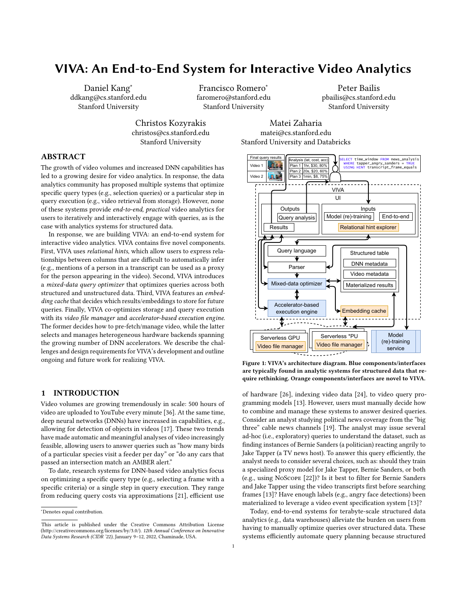# VIVA: An End-to-End System for Interactive Video Analytics

Daniel Kang<sup>∗</sup> ddkang@cs.stanford.edu Stanford University

Francisco Romero<sup>∗</sup> faromero@stanford.edu Stanford University

Peter Bailis pbailis@cs.stanford.edu Stanford University

Christos Kozyrakis christos@cs.stanford.edu Stanford University

Matei Zaharia matei@cs.stanford.edu Stanford University and Databricks

# ABSTRACT

The growth of video volumes and increased DNN capabilities has led to a growing desire for video analytics. In response, the data analytics community has proposed multiple systems that optimize specific query types (e.g., selection queries) or a particular step in query execution (e.g., video retrieval from storage). However, none of these systems provide end-to-end, practical video analytics for users to iteratively and interactively engage with queries, as is the case with analytics systems for structured data.

In response, we are building VIVA: an end-to-end system for interactive video analytics. VIVA contains five novel components. First, VIVA uses relational hints, which allow users to express relationships between columns that are difficult to automatically infer (e.g., mentions of a person in a transcript can be used as a proxy for the person appearing in the video). Second, VIVA introduces a mixed-data query optimizer that optimizes queries across both structured and unstructured data. Third, VIVA features an embedding cache that decides which results/embeddings to store for future queries. Finally, VIVA co-optimizes storage and query execution with its video file manager and accelerator-based execution engine. The former decides how to pre-fetch/manage video, while the latter selects and manages heterogeneous hardware backends spanning the growing number of DNN accelerators. We describe the challenges and design requirements for VIVA's development and outline ongoing and future work for realizing VIVA.

#### 1 INTRODUCTION

Video volumes are growing tremendously in scale: 500 hours of video are uploaded to YouTube every minute [\[36\]](#page-8-0). At the same time, deep neural networks (DNNs) have increased in capabilities, e.g., allowing for detection of objects in videos [\[17\]](#page-7-0). These two trends have made automatic and meaningful analyses of video increasingly feasible, allowing users to answer queries such as "how many birds of a particular species visit a feeder per day" or "do any cars that passed an intersection match an AMBER alert."

To date, research systems for DNN-based video analytics focus on optimizing a specific query type (e.g., selecting a frame with a specific criteria) or a single step in query execution. They range from reducing query costs via approximations [\[21\]](#page-7-1), efficient use

<span id="page-0-0"></span>

Figure 1: VIVA's architecture diagram. Blue components/interfaces are typically found in analytic systems for structured data that require rethinking. Orange components/interfaces are novel to VIVA.

of hardware [\[26\]](#page-7-2), indexing video data [\[24\]](#page-7-3), to video query programming models [\[13\]](#page-7-4). However, users must manually decide how to combine and manage these systems to answer desired queries. Consider an analyst studying political news coverage from the "big three" cable news channels [\[19\]](#page-7-5). The analyst may issue several ad-hoc (i.e., exploratory) queries to understand the dataset, such as finding instances of Bernie Sanders (a politician) reacting angrily to Jake Tapper (a TV news host). To answer this query efficiently, the analyst needs to consider several choices, such as: should they train a specialized proxy model for Jake Tapper, Bernie Sanders, or both (e.g., using NoScope [\[22\]](#page-7-6))? Is it best to filter for Bernie Sanders and Jake Tapper using the video transcripts first before searching frames [\[13\]](#page-7-4)? Have enough labels (e.g., angry face detections) been materialized to leverage a video event specification system [\[13\]](#page-7-4)?

Today, end-to-end systems for terabyte-scale structured data analytics (e.g., data warehouses) alleviate the burden on users from having to manually optimize queries over structured data. These systems efficiently automate query planning because structured

<sup>∗</sup>Denotes equal contribution.

This article is published under the Creative Commons Attribution License (http://creativecommons.org/licenses/by/3.0/). 12th Annual Conference on Innovative Data Systems Research (CIDR '22), January 9–12, 2022, Chaminade, USA.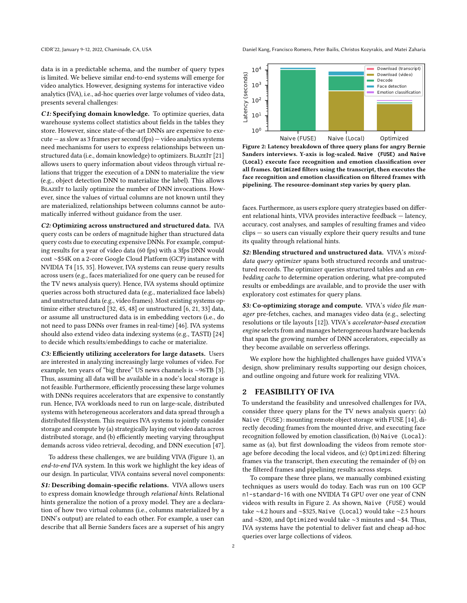data is in a predictable schema, and the number of query types is limited. We believe similar end-to-end systems will emerge for video analytics. However, designing systems for interactive video analytics (IVA), i.e., ad-hoc queries over large volumes of video data, presents several challenges:

C1: Specifying domain knowledge. To optimize queries, data warehouse systems collect statistics about fields in the tables they store. However, since state-of-the-art DNNs are expensive to execute — as slow as 3 frames per second (fps) — video analytics systems need mechanisms for users to express relationships between un-structured data (i.e., domain knowledge) to optimizers. BLAZEIT [\[21\]](#page-7-1) allows users to query information about videos through virtual relations that trigger the execution of a DNN to materialize the view (e.g., object detection DNN to materialize the label). This allows BLAZEIT to lazily optimize the number of DNN invocations. However, since the values of virtual columns are not known until they are materialized, relationships between columns cannot be automatically inferred without guidance from the user.

C2: Optimizing across unstructured and structured data. IVA query costs can be orders of magnitude higher than structured data query costs due to executing expensive DNNs. For example, computing results for a year of video data (60 fps) with a 3fps DNN would cost ∼\$54K on a 2-core Google Cloud Platform (GCP) instance with NVIDIA T4 [\[15,](#page-7-7) [35\]](#page-8-1). However, IVA systems can reuse query results across users (e.g., faces materialized for one query can be reused for the TV news analysis query). Hence, IVA systems should optimize queries across both structured data (e.g., materialized face labels) and unstructured data (e.g., video frames). Most existing systems optimize either structured [\[32,](#page-7-8) [45,](#page-8-2) [48\]](#page-8-3) or unstructured [\[6,](#page-7-9) [21,](#page-7-1) [33\]](#page-7-10) data, or assume all unstructured data is in embedding vectors (i.e., do not need to pass DNNs over frames in real-time) [\[46\]](#page-8-4). IVA systems should also extend video data indexing systems (e.g., TASTI) [\[24\]](#page-7-3) to decide which results/embeddings to cache or materialize.

C3: Efficiently utilizing accelerators for large datasets. Users are interested in analyzing increasingly large volumes of video. For example, ten years of "big three" US news channels is ∼96TB [\[3\]](#page-7-11). Thus, assuming all data will be available in a node's local storage is not feasible. Furthermore, efficiently processing these large volumes with DNNs requires accelerators that are expensive to constantly run. Hence, IVA workloads need to run on large-scale, distributed systems with heterogeneous accelerators and data spread through a distributed filesystem. This requires IVA systems to jointly consider storage and compute by (a) strategically laying out video data across distributed storage, and (b) efficiently meeting varying throughput demands across video retrieval, decoding, and DNN execution [\[47\]](#page-8-5).

To address these challenges, we are building VIVA (Figure [1\)](#page-0-0), an end-to-end IVA system. In this work we highlight the key ideas of our design. In particular, VIVA contains several novel components:

S1: Describing domain-specific relations. VIVA allows users to express domain knowledge through relational hints. Relational hints generalize the notion of a proxy model. They are a declaration of how two virtual columns (i.e., columns materialized by a DNN's output) are related to each other. For example, a user can describe that all Bernie Sanders faces are a superset of his angry

CIDR'22, January 9-12, 2022, Chaminade, CA, USA Daniel Kang, Francisco Romero, Peter Bailis, Christos Kozyrakis, and Matei Zaharia

<span id="page-1-0"></span>

Figure 2: Latency breakdown of three query plans for angry Bernie Sanders interviews. Y-axis is log-scaled. **Naive (FUSE)** and **Naive (Local)** execute face recognition and emotion classification over all frames. **Optimized** filters using the transcript, then executes the face recognition and emotion classification on filtered frames with pipelining. The resource-dominant step varies by query plan.

faces. Furthermore, as users explore query strategies based on different relational hints, VIVA provides interactive feedback — latency, accuracy, cost analyses, and samples of resulting frames and video clips — so users can visually explore their query results and tune its quality through relational hints.

S2: Blending structured and unstructured data. VIVA's mixeddata query optimizer spans both structured records and unstructured records. The optimizer queries structured tables and an embedding cache to determine operation ordering, what pre-computed results or embeddings are available, and to provide the user with exploratory cost estimates for query plans.

S3: Co-optimizing storage and compute. VIVA's video file manager pre-fetches, caches, and manages video data (e.g., selecting resolutions or tile layouts [\[12\]](#page-7-12)). VIVA's accelerator-based execution engine selects from and manages heterogeneous hardware backends that span the growing number of DNN accelerators, especially as they become available on serverless offerings.

We explore how the highlighted challenges have guided VIVA's design, show preliminary results supporting our design choices, and outline ongoing and future work for realizing VIVA.

#### <span id="page-1-1"></span>2 FEASIBILITY OF IVA

To understand the feasibility and unresolved challenges for IVA, consider three query plans for the TV news analysis query: (a) Naive (FUSE): mounting remote object storage with FUSE [\[14\]](#page-7-13), directly decoding frames from the mounted drive, and executing face recognition followed by emotion classification, (b) Naive (Local): same as (a), but first downloading the videos from remote storage before decoding the local videos, and (c) Optimized: filtering frames via the transcript, then executing the remainder of (b) on the filtered frames and pipelining results across steps.

To compare these three plans, we manually combined existing techniques as users would do today. Each was run on 100 GCP n1-standard-16 with one NVIDIA T4 GPU over one year of CNN videos with results in Figure [2.](#page-1-0) As shown, Naive (FUSE) would take ∼4.2 hours and ∼\$325, Naive (Local) would take ∼2.5 hours and ∼\$200, and Optimized would take ∼3 minutes and ∼\$4. Thus, IVA systems have the potential to deliver fast and cheap ad-hoc queries over large collections of videos.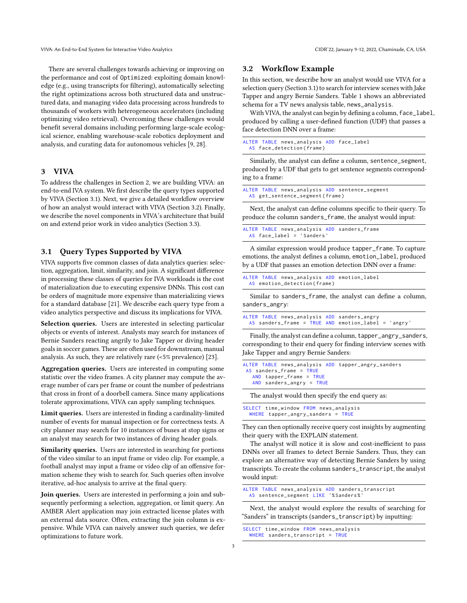There are several challenges towards achieving or improving on the performance and cost of Optimized: exploiting domain knowledge (e.g., using transcripts for filtering), automatically selecting the right optimizations across both structured data and unstructured data, and managing video data processing across hundreds to thousands of workers with heterogeneous accelerators (including optimizing video retrieval). Overcoming these challenges would benefit several domains including performing large-scale ecological science, enabling warehouse-scale robotics deployment and analysis, and curating data for autonomous vehicles [\[9,](#page-7-14) [28\]](#page-7-15).

## 3 VIVA

To address the challenges in Section [2,](#page-1-1) we are building VIVA: an end-to-end IVA system. We first describe the query types supported by VIVA (Section [3.1\)](#page-2-0). Next, we give a detailed workflow overview of how an analyst would interact with VIVA (Section [3.2\)](#page-2-1). Finally, we describe the novel components in VIVA's architecture that build on and extend prior work in video analytics (Section [3.3\)](#page-3-0).

# <span id="page-2-0"></span>3.1 Query Types Supported by VIVA

VIVA supports five common classes of data analytics queries: selection, aggregation, limit, similarity, and join. A significant difference in processing these classes of queries for IVA workloads is the cost of materialization due to executing expensive DNNs. This cost can be orders of magnitude more expensive than materializing views for a standard database [\[21\]](#page-7-1). We describe each query type from a video analytics perspective and discuss its implications for VIVA.

Selection queries. Users are interested in selecting particular objects or events of interest. Analysts may search for instances of Bernie Sanders reacting angrily to Jake Tapper or diving header goals in soccer games. These are often used for downstream, manual analysis. As such, they are relatively rare (<5% prevalence) [\[23\]](#page-7-16).

Aggregation queries. Users are interested in computing some statistic over the video frames. A city planner may compute the average number of cars per frame or count the number of pedestrians that cross in front of a doorbell camera. Since many applications tolerate approximations, VIVA can apply sampling techniques.

Limit queries. Users are interested in finding a cardinality-limited number of events for manual inspection or for correctness tests. A city planner may search for 10 instances of buses at stop signs or an analyst may search for two instances of diving header goals.

Similarity queries. Users are interested in searching for portions of the video similar to an input frame or video clip. For example, a football analyst may input a frame or video clip of an offensive formation scheme they wish to search for. Such queries often involve iterative, ad-hoc analysis to arrive at the final query.

Join queries. Users are interested in performing a join and subsequently performing a selection, aggregation, or limit query. An AMBER Alert application may join extracted license plates with an external data source. Often, extracting the join column is expensive. While VIVA can naively answer such queries, we defer optimizations to future work.

#### <span id="page-2-1"></span>3.2 Workflow Example

In this section, we describe how an analyst would use VIVA for a selection query (Section [3.1\)](#page-2-0) to search for interview scenes with Jake Tapper and angry Bernie Sanders. Table [1](#page-3-1) shows an abbreviated schema for a TV news analysis table, news\_analysis.

With VIVA, the analyst can begin by defining a column, face\_label, produced by calling a user-defined function (UDF) that passes a face detection DNN over a frame:

```
ALTER TABLE news_analysis ADD face_label
 AS face_detection ( frame )
```
Similarly, the analyst can define a column, sentence\_segment, produced by a UDF that gets to get sentence segments corresponding to a frame:

```
ALTER TABLE news_analysis ADD sentence_segment
 AS get_sentence_segment ( frame )
```
Next, the analyst can define columns specific to their query. To produce the column sanders\_frame, the analyst would input:

|  |                             | ALTER TABLE news_analysis ADD sanders_frame |
|--|-----------------------------|---------------------------------------------|
|  | $AS$ face label = 'Sanders' |                                             |

A similar expression would produce tapper\_frame. To capture emotions, the analyst defines a column, emotion\_label, produced by a UDF that passes an emotion detection DNN over a frame:

```
ALTER TABLE news_analysis ADD emotion_label
 AS emotion_detection (frame)
```
Similar to sanders\_frame, the analyst can define a column, sanders\_angry:

|  |  |  | ALTER TABLE news_analysis ADD sanders_angry           |  |
|--|--|--|-------------------------------------------------------|--|
|  |  |  | AS sanders_frame = $TRUE$ AND emotion_label = 'angry' |  |

Finally, the analyst can define a column, tapper\_angry\_sanders, corresponding to their end query for finding interview scenes with Jake Tapper and angry Bernie Sanders:

|                            | ALTER TABLE news_analysis ADD tapper_angry_sanders |
|----------------------------|----------------------------------------------------|
| AS sanders_frame = $TRUE$  |                                                    |
| AND $tapper_fram = TRUE$   |                                                    |
| AND sanders_angry = $TRUE$ |                                                    |
|                            |                                                    |

The analyst would then specify the end query as:

| SELECT time_window FROM news_analysis |  |
|---------------------------------------|--|
| WHERE tapper_angry_sanders = $TRUE$   |  |

They can then optionally receive query cost insights by augmenting their query with the EXPLAIN statement.

The analyst will notice it is slow and cost-inefficient to pass DNNs over all frames to detect Bernie Sanders. Thus, they can explore an alternative way of detecting Bernie Sanders by using transcripts. To create the column sanders\_transcript, the analyst would input:

```
ALTER TABLE news_analysis ADD sanders_transcript
 AS sentence_segment LIKE '% Sanders %'
```
Next, the analyst would explore the results of searching for "Sanders" in transcripts (sanders\_transcript) by inputting:

```
SELECT time_window FROM news_analysis
WHERE sanders transcript = TRUE
```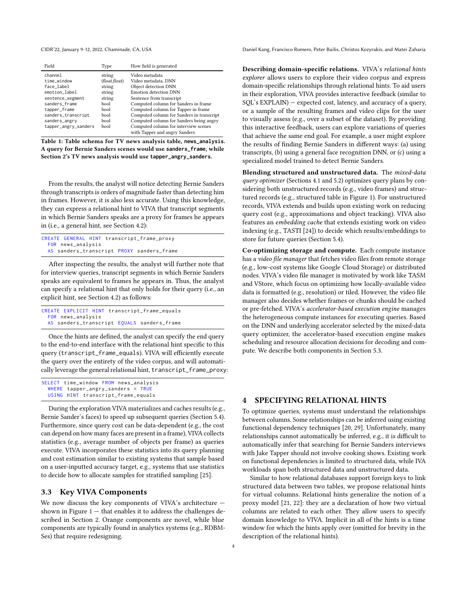<span id="page-3-1"></span>

| Field                | Type           | How field is generated                                                |
|----------------------|----------------|-----------------------------------------------------------------------|
| channel              | string         | Video metadata                                                        |
| time_window          | (float, float) | Video metadata, DNN                                                   |
| face label           | string         | Object detection DNN                                                  |
| emotion_label        | string         | Emotion detection DNN                                                 |
| sentence_segment     | string         | Sentence from transcript                                              |
| sanders_frame        | bool           | Computed column for Sanders in frame                                  |
| tapper_frame         | bool           | Computed column for Tapper in frame                                   |
| sanders_transcript   | bool           | Computed column for Sanders in transcript                             |
| sanders_angry        | bool           | Computed column for Sanders being angry                               |
| tapper_angry_sanders | bool           | Computed column for interview scenes<br>with Tapper and angry Sanders |

Table 1: Table schema for TV news analysis table, **news\_analysis**. A query for Bernie Sanders scenes would use **sanders\_frame**, while Section [2'](#page-1-1)s TV news analysis would use **tapper\_angry\_sanders**.

From the results, the analyst will notice detecting Bernie Sanders through transcripts is orders of magnitude faster than detecting him in frames. However, it is also less accurate. Using this knowledge, they can express a relational hint to VIVA that transcript segments in which Bernie Sanders speaks are a proxy for frames he appears in (i.e., a general hint, see Section [4.2\)](#page-4-0):

| CREATE GENERAL HINT transcript_frame_proxy |  |  |  |
|--------------------------------------------|--|--|--|
| FOR news_analysis                          |  |  |  |
| AS sanders_transcript PROXY sanders_frame  |  |  |  |

After inspecting the results, the analyst will further note that for interview queries, transcript segments in which Bernie Sanders speaks are equivalent to frames he appears in. Thus, the analyst can specify a relational hint that only holds for their query (i.e., an explicit hint, see Section [4.2\)](#page-4-0) as follows:

|                   |  | CREATE EXPLICIT HINT transcript_frame_equals |
|-------------------|--|----------------------------------------------|
| FOR news_analysis |  |                                              |
|                   |  | AS sanders_transcript EQUALS sanders_frame   |

Once the hints are defined, the analyst can specify the end query to the end-to-end interface with the relational hint specific to this query (transcript\_frame\_equals). VIVA will efficiently execute the query over the entirety of the video corpus, and will automatically leverage the general relational hint, transcript\_frame\_proxy:

```
SELECT time_window FROM news_analysis
 WHERE tapper_angry_sanders = TRUUSING HINT transcript_frame_equals
```
During the exploration VIVA materializes and caches results (e.g., Bernie Sander's faces) to speed up subsequent queries (Section [5.4\)](#page-6-0). Furthermore, since query cost can be data-dependent (e.g., the cost can depend on how many faces are present in a frame), VIVA collects statistics (e.g., average number of objects per frame) as queries execute. VIVA incorporates these statistics into its query planning and cost estimation similar to existing systems that sample based on a user-inputted accuracy target, e.g., systems that use statistics to decide how to allocate samples for stratified sampling [\[25\]](#page-7-17).

#### <span id="page-3-0"></span>3.3 Key VIVA Components

We now discuss the key components of VIVA's architecture shown in Figure  $1$   $-$  that enables it to address the challenges described in Section [2.](#page-1-1) Orange components are novel, while blue components are typically found in analytics systems (e.g., RDBM-Ses) that require redesigning.

CIDR'22, January 9-12, 2022, Chaminade, CA, USA Daniel Kang, Francisco Romero, Peter Bailis, Christos Kozyrakis, and Matei Zaharia

Describing domain-specific relations. VIVA's relational hints explorer allows users to explore their video corpus and express domain-specific relationships through relational hints. To aid users in their exploration, VIVA provides interactive feedback (similar to SQL's EXPLAIN) — expected cost, latency, and accuracy of a query, or a sample of the resulting frames and video clips for the user to visually assess (e.g., over a subset of the dataset). By providing this interactive feedback, users can explore variations of queries that achieve the same end goal. For example, a user might explore the results of finding Bernie Sanders in different ways: (a) using transcripts, (b) using a general face recognition DNN, or (c) using a specialized model trained to detect Bernie Sanders.

Blending structured and unstructured data. The mixed-data query optimizer (Sections [4.1](#page-4-1) and [5.2\)](#page-5-0) optimizes query plans by considering both unstructured records (e.g., video frames) and structured records (e.g., structured table in Figure [1\)](#page-0-0). For unstructured records, VIVA extends and builds upon existing work on reducing query cost (e.g., approximations and object tracking). VIVA also features an embedding cache that extends existing work on video indexing (e.g., TASTI [\[24\]](#page-7-3)) to decide which results/embeddings to store for future queries (Section [5.4\)](#page-6-0).

Co-optimizing storage and compute. Each compute instance has a video file manager that fetches video files from remote storage (e.g., low-cost systems like Google Cloud Storage) or distributed nodes. VIVA's video file manager is motivated by work like TASM and VStore, which focus on optimizing how locally-available video data is formatted (e.g., resolution) or tiled. However, the video file manager also decides whether frames or chunks should be cached or pre-fetched. VIVA's accelerator-based execution engine manages the heterogeneous compute instances for executing queries. Based on the DNN and underlying accelerator selected by the mixed-data query optimizer, the accelerator-based execution engine makes scheduling and resource allocation decisions for decoding and compute. We describe both components in Section [5.3.](#page-5-1)

#### <span id="page-3-2"></span>4 SPECIFYING RELATIONAL HINTS

To optimize queries, systems must understand the relationships between columns. Some relationships can be inferred using existing functional dependency techniques [\[20,](#page-7-18) [29\]](#page-7-19). Unfortunately, many relationships cannot automatically be inferred, e.g., it is difficult to automatically infer that searching for Bernie Sanders interviews with Jake Tapper should not involve cooking shows. Existing work on functional dependencies is limited to structured data, while IVA workloads span both structured data and unstructured data.

Similar to how relational databases support foreign keys to link structured data between two tables, we propose relational hints for virtual columns. Relational hints generalize the notion of a proxy model [\[21,](#page-7-1) [22\]](#page-7-6): they are a declaration of how two virtual columns are related to each other. They allow users to specify domain knowledge to VIVA. Implicit in all of the hints is a time window for which the hints apply over (omitted for brevity in the description of the relational hints).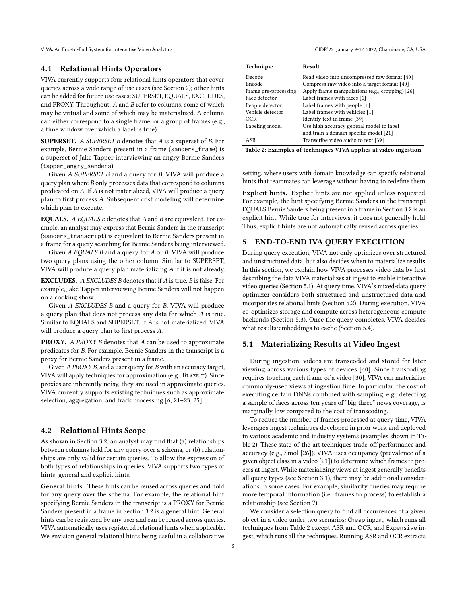VIVA: An End-to-End System for Interactive Video Analytics CIDR'22, January 9-12, 2022, Chaminade, CA, USA

#### <span id="page-4-1"></span>4.1 Relational Hints Operators

VIVA currently supports four relational hints operators that cover queries across a wide range of use cases (see Section [2\)](#page-1-1); other hints can be added for future use cases: SUPERSET, EQUALS, EXCLUDES, and PROXY. Throughout, A and B refer to columns, some of which may be virtual and some of which may be materialized. A column can either correspond to a single frame, or a group of frames (e.g., a time window over which a label is true).

SUPERSET. A SUPERSET B denotes that A is a superset of B. For example, Bernie Sanders present in a frame (sanders\_frame) is a superset of Jake Tapper interviewing an angry Bernie Sanders (tapper\_angry\_sanders).

Given A SUPERSET B and a query for B, VIVA will produce a query plan where B only processes data that correspond to columns predicated on A. If A is not materialized, VIVA will produce a query plan to first process A. Subsequent cost modeling will determine which plan to execute.

EQUALS. A EQUALS B denotes that A and B are equivalent. For example, an analyst may express that Bernie Sanders in the transcript (sanders\_transcript) is equivalent to Bernie Sanders present in a frame for a query searching for Bernie Sanders being interviewed.

Given A EQUALS B and a query for A or B, VIVA will produce two query plans using the other column. Similar to SUPERSET, VIVA will produce a query plan materializing A if it is not already.

EXCLUDES. A EXCLUDES B denotes that if A is true, B is false. For example, Jake Tapper interviewing Bernie Sanders will not happen on a cooking show.

Given A EXCLUDES B and a query for B, VIVA will produce a query plan that does not process any data for which A is true. Similar to EQUALS and SUPERSET, if A is not materialized, VIVA will produce a query plan to first process A.

PROXY. A PROXY B denotes that A can be used to approximate predicates for B. For example, Bernie Sanders in the transcript is a proxy for Bernie Sanders present in a frame.

Given A PROXY B, and a user query for B with an accuracy target, VIVA will apply techniques for approximation (e.g., BlazeIt). Since proxies are inherently noisy, they are used in approximate queries. VIVA currently supports existing techniques such as approximate selection, aggregation, and track processing [\[6,](#page-7-9) [21](#page-7-1)[–23,](#page-7-16) [25\]](#page-7-17).

# <span id="page-4-0"></span>4.2 Relational Hints Scope

As shown in Section [3.2,](#page-2-1) an analyst may find that (a) relationships between columns hold for any query over a schema, or (b) relationships are only valid for certain queries. To allow the expression of both types of relationships in queries, VIVA supports two types of hints: general and explicit hints.

General hints. These hints can be reused across queries and hold for any query over the schema. For example, the relational hint specifying Bernie Sanders in the transcript is a PROXY for Bernie Sanders present in a frame in Section [3.2](#page-2-1) is a general hint. General hints can be registered by any user and can be reused across queries. VIVA automatically uses registered relational hints when applicable. We envision general relational hints being useful in a collaborative

<span id="page-4-3"></span>

| Technique            | Result                                          |
|----------------------|-------------------------------------------------|
| Decode               | Read video into uncompressed raw format [40]    |
| Encode               | Compress raw video into a target format [40]    |
| Frame pre-processing | Apply frame manipulations (e.g., cropping) [26] |
| Face detector        | Label frames with faces [1]                     |
| People detector      | Label frames with people [1]                    |
| Vehicle detector     | Label frames with vehicles [1]                  |
| OCR                  | Identify text in frame [39]                     |
| Labeling model       | Use high accuracy general model to label        |
|                      | and train a domain specific model [21]          |
| ASR                  | Transcribe video audio to text [39]             |

Table 2: Examples of techniques VIVA applies at video ingestion.

setting, where users with domain knowledge can specify relational hints that teammates can leverage without having to redefine them.

Explicit hints. Explicit hints are not applied unless requested. For example, the hint specifying Bernie Sanders in the transcript EQUALS Bernie Sanders being present in a frame in Section [3.2](#page-2-1) is an explicit hint. While true for interviews, it does not generally hold. Thus, explicit hints are not automatically reused across queries.

#### 5 END-TO-END IVA QUERY EXECUTION

During query execution, VIVA not only optimizes over structured and unstructured data, but also decides when to materialize results. In this section, we explain how VIVA processes video data by first describing the data VIVA materializes at ingest to enable interactive video queries (Section [5.1\)](#page-4-2). At query time, VIVA's mixed-data query optimizer considers both structured and unstructured data and incorporates relational hints (Section [5.2\)](#page-5-0). During execution, VIVA co-optimizes storage and compute across heterogeneous compute backends (Section [5.3\)](#page-5-1). Once the query completes, VIVA decides what results/embeddings to cache (Section [5.4\)](#page-6-0).

# <span id="page-4-2"></span>5.1 Materializing Results at Video Ingest

During ingestion, videos are transcoded and stored for later viewing across various types of devices [\[40\]](#page-8-6). Since transcoding requires touching each frame of a video [\[30\]](#page-7-21), VIVA can materialize commonly-used views at ingestion time. In particular, the cost of executing certain DNNs combined with sampling, e.g., detecting a sample of faces across ten years of "big three" news coverage, is marginally low compared to the cost of transcoding.

To reduce the number of frames processed at query time, VIVA leverages ingest techniques developed in prior work and deployed in various academic and industry systems (examples shown in Table [2\)](#page-4-3). These state-of-the-art techniques trade-off performance and accuracy (e.g., Smol [\[26\]](#page-7-2)). VIVA uses occupancy (prevalence of a given object class in a video [\[21\]](#page-7-1)) to determine which frames to process at ingest. While materializing views at ingest generally benefits all query types (see Section [3.1\)](#page-2-0), there may be additional considerations in some cases. For example, similarity queries may require more temporal information (i.e., frames to process) to establish a relationship (see Section [7\)](#page-6-1).

We consider a selection query to find all occurrences of a given object in a video under two scenarios: Cheap ingest, which runs all techniques from Table [2](#page-4-3) except ASR and OCR, and Expensive ingest, which runs all the techniques. Running ASR and OCR extracts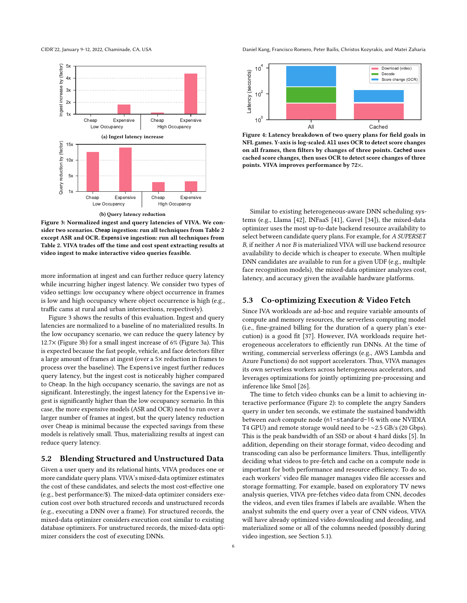<span id="page-5-2"></span>



Figure 3: Normalized ingest and query latencies of VIVA. We consider two scenarios. **Cheap** ingestion: run all techniques from Table [2](#page-4-3) except ASR and OCR. **Expensive** ingestion: run all techniques from Table [2.](#page-4-3) VIVA trades off the time and cost spent extracting results at video ingest to make interactive video queries feasible.

more information at ingest and can further reduce query latency while incurring higher ingest latency. We consider two types of video settings: low occupancy where object occurrence in frames is low and high occupancy where object occurrence is high (e.g., traffic cams at rural and urban intersections, respectively).

Figure [3](#page-5-2) shows the results of this evaluation. Ingest and query latencies are normalized to a baseline of no materialized results. In the low occupancy scenario, we can reduce the query latency by 12.7× (Figure [3b\)](#page-5-2) for a small ingest increase of 6% (Figure [3a\)](#page-5-2). This is expected because the fast people, vehicle, and face detectors filter a large amount of frames at ingest (over a 5× reduction in frames to process over the baseline). The Expensive ingest further reduces query latency, but the ingest cost is noticeably higher compared to Cheap. In the high occupancy scenario, the savings are not as significant. Interestingly, the ingest latency for the Expensive ingest is significantly higher than the low occupancy scenario. In this case, the more expensive models (ASR and OCR) need to run over a larger number of frames at ingest, but the query latency reduction over Cheap is minimal because the expected savings from these models is relatively small. Thus, materializing results at ingest can reduce query latency.

#### <span id="page-5-0"></span>5.2 Blending Structured and Unstructured Data

Given a user query and its relational hints, VIVA produces one or more candidate query plans. VIVA's mixed-data optimizer estimates the cost of these candidates, and selects the most cost-effective one (e.g., best performance/\$). The mixed-data optimizer considers execution cost over both structured records and unstructured records (e.g., executing a DNN over a frame). For structured records, the mixed-data optimizer considers execution cost similar to existing database optimizers. For unstructured records, the mixed-data optimizer considers the cost of executing DNNs.

CIDR'22, January 9-12, 2022, Chaminade, CA, USA Daniel Kang, Francisco Romero, Peter Bailis, Christos Kozyrakis, and Matei Zaharia

<span id="page-5-3"></span>

Figure 4: Latency breakdown of two query plans for field goals in NFL games. Y-axis is log-scaled. **All** uses OCR to detect score changes on all frames, then filters by changes of three points. **Cached** uses cached score changes, then uses OCR to detect score changes of three points. VIVA improves performance by 72×.

Similar to existing heterogeneous-aware DNN scheduling systems (e.g., Llama [\[42\]](#page-8-8), INFaaS [\[41\]](#page-8-9), Gavel [\[34\]](#page-7-22)), the mixed-data optimizer uses the most up-to-date backend resource availability to select between candidate query plans. For example, for A SUPERSET B, if neither A nor B is materialized VIVA will use backend resource availability to decide which is cheaper to execute. When multiple DNN candidates are available to run for a given UDF (e.g., multiple face recognition models), the mixed-data optimizer analyzes cost, latency, and accuracy given the available hardware platforms.

#### <span id="page-5-1"></span>5.3 Co-optimizing Execution & Video Fetch

Since IVA workloads are ad-hoc and require variable amounts of compute and memory resources, the serverless computing model (i.e., fine-grained billing for the duration of a query plan's execution) is a good fit [\[37\]](#page-8-10). However, IVA workloads require heterogeneous accelerators to efficiently run DNNs. At the time of writing, commercial serverless offerings (e.g., AWS Lambda and Azure Functions) do not support accelerators. Thus, VIVA manages its own serverless workers across heterogeneous accelerators, and leverages optimizations for jointly optimizing pre-processing and inference like Smol [\[26\]](#page-7-2).

The time to fetch video chunks can be a limit to achieving interactive performance (Figure [2\)](#page-1-0): to complete the angry Sanders query in under ten seconds, we estimate the sustained bandwidth between each compute node (n1-standard-16 with one NVIDIA T4 GPU) and remote storage would need to be ∼2.5 GB/s (20 Gbps). This is the peak bandwidth of an SSD or about 4 hard disks [\[5\]](#page-7-23). In addition, depending on their storage format, video decoding and transcoding can also be performance limiters. Thus, intelligently deciding what videos to pre-fetch and cache on a compute node is important for both performance and resource efficiency. To do so, each workers' video file manager manages video file accesses and storage formatting. For example, based on exploratory TV news analysis queries, VIVA pre-fetches video data from CNN, decodes the videos, and even tiles frames if labels are available. When the analyst submits the end query over a year of CNN videos, VIVA will have already optimized video downloading and decoding, and materialized some or all of the columns needed (possibly during video ingestion, see Section [5.1\)](#page-4-2).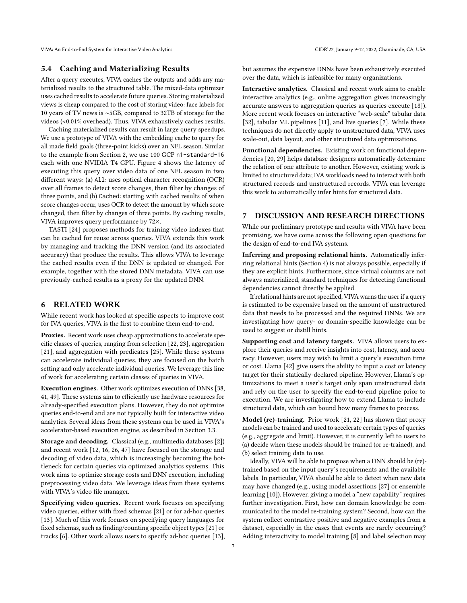VIVA: An End-to-End System for Interactive Video Analytics CIDR'22, January 9-12, 2022, Chaminade, CA, USA

#### <span id="page-6-0"></span>5.4 Caching and Materializing Results

After a query executes, VIVA caches the outputs and adds any materialized results to the structured table. The mixed-data optimizer uses cached results to accelerate future queries. Storing materialized views is cheap compared to the cost of storing video: face labels for 10 years of TV news is ∼5GB, compared to 32TB of storage for the videos (<0.01% overhead). Thus, VIVA exhaustively caches results.

Caching materialized results can result in large query speedups. We use a prototype of VIVA with the embedding cache to query for all made field goals (three-point kicks) over an NFL season. Similar to the example from Section [2,](#page-1-1) we use 100 GCP n1-standard-16 each with one NVIDIA T4 GPU. Figure [4](#page-5-3) shows the latency of executing this query over video data of one NFL season in two different ways: (a) All: uses optical character recognition (OCR) over all frames to detect score changes, then filter by changes of three points, and (b) Cached: starting with cached results of when score changes occur, uses OCR to detect the amount by which score changed, then filter by changes of three points. By caching results, VIVA improves query performance by 72×.

TASTI [\[24\]](#page-7-3) proposes methods for training video indexes that can be cached for reuse across queries. VIVA extends this work by managing and tracking the DNN version (and its associated accuracy) that produce the results. This allows VIVA to leverage the cached results even if the DNN is updated or changed. For example, together with the stored DNN metadata, VIVA can use previously-cached results as a proxy for the updated DNN.

# 6 RELATED WORK

While recent work has looked at specific aspects to improve cost for IVA queries, VIVA is the first to combine them end-to-end.

Proxies. Recent work uses cheap approximations to accelerate specific classes of queries, ranging from selection [\[22,](#page-7-6) [23\]](#page-7-16), aggregation [\[21\]](#page-7-1), and aggregation with predicates [\[25\]](#page-7-17). While these systems can accelerate individual queries, they are focused on the batch setting and only accelerate individual queries. We leverage this line of work for accelerating certain classes of queries in VIVA.

Execution engines. Other work optimizes execution of DNNs [\[38,](#page-8-11) [41,](#page-8-9) [49\]](#page-8-12). These systems aim to efficiently use hardware resources for already-specified execution plans. However, they do not optimize queries end-to-end and are not typically built for interactive video analytics. Several ideas from these systems can be used in VIVA's accelerator-based execution engine, as described in Section [3.3.](#page-3-0)

Storage and decoding. Classical (e.g., multimedia databases [\[2\]](#page-7-24)) and recent work [\[12,](#page-7-12) [16,](#page-7-25) [26,](#page-7-2) [47\]](#page-8-5) have focused on the storage and decoding of video data, which is increasingly becoming the bottleneck for certain queries via optimized analytics systems. This work aims to optimize storage costs and DNN execution, including preprocessing video data. We leverage ideas from these systems with VIVA's video file manager.

Specifying video queries. Recent work focuses on specifying video queries, either with fixed schemas [\[21\]](#page-7-1) or for ad-hoc queries [\[13\]](#page-7-4). Much of this work focuses on specifying query languages for fixed schemas, such as finding/counting specific object types [\[21\]](#page-7-1) or tracks [\[6\]](#page-7-9). Other work allows users to specify ad-hoc queries [\[13\]](#page-7-4), but assumes the expensive DNNs have been exhaustively executed over the data, which is infeasible for many organizations.

Interactive analytics. Classical and recent work aims to enable interactive analytics (e.g., online aggregation gives increasingly accurate answers to aggregation queries as queries execute [\[18\]](#page-7-26)). More recent work focuses on interactive "web-scale" tabular data [\[32\]](#page-7-8), tabular ML pipelines [\[11\]](#page-7-27), and live queries [\[7\]](#page-7-28). While these techniques do not directly apply to unstructured data, VIVA uses scale-out, data layout, and other structured data optimizations.

Functional dependencies. Existing work on functional dependencies [\[20,](#page-7-18) [29\]](#page-7-19) helps database designers automatically determine the relation of one attribute to another. However, existing work is limited to structured data; IVA workloads need to interact with both structured records and unstructured records. VIVA can leverage this work to automatically infer hints for structured data.

# <span id="page-6-1"></span>7 DISCUSSION AND RESEARCH DIRECTIONS

While our preliminary prototype and results with VIVA have been promising, we have come across the following open questions for the design of end-to-end IVA systems.

Inferring and proposing relational hints. Automatically inferring relational hints (Section [4\)](#page-3-2) is not always possible, especially if they are explicit hints. Furthermore, since virtual columns are not always materialized, standard techniques for detecting functional dependencies cannot directly be applied.

If relational hints are not specified, VIVA warns the user if a query is estimated to be expensive based on the amount of unstructured data that needs to be processed and the required DNNs. We are investigating how query- or domain-specific knowledge can be used to suggest or distill hints.

Supporting cost and latency targets. VIVA allows users to explore their queries and receive insights into cost, latency, and accuracy. However, users may wish to limit a query's execution time or cost. Llama [\[42\]](#page-8-8) give users the ability to input a cost or latency target for their statically-declared pipeline. However, Llama's optimizations to meet a user's target only span unstructured data and rely on the user to specify the end-to-end pipeline prior to execution. We are investigating how to extend Llama to include structured data, which can bound how many frames to process.

Model (re)-training. Prior work [\[21,](#page-7-1) [22\]](#page-7-6) has shown that proxy models can be trained and used to accelerate certain types of queries (e.g., aggregate and limit). However, it is currently left to users to (a) decide when these models should be trained (or re-trained), and (b) select training data to use.

Ideally, VIVA will be able to propose when a DNN should be (re) trained based on the input query's requirements and the available labels. In particular, VIVA should be able to detect when new data may have changed (e.g., using model assertions [\[27\]](#page-7-29) or ensemble learning [\[10\]](#page-7-30)). However, giving a model a "new capability" requires further investigation. First, how can domain knowledge be communicated to the model re-training system? Second, how can the system collect contrastive positive and negative examples from a dataset, especially in the cases that events are rarely occurring? Adding interactivity to model training [\[8\]](#page-7-31) and label selection may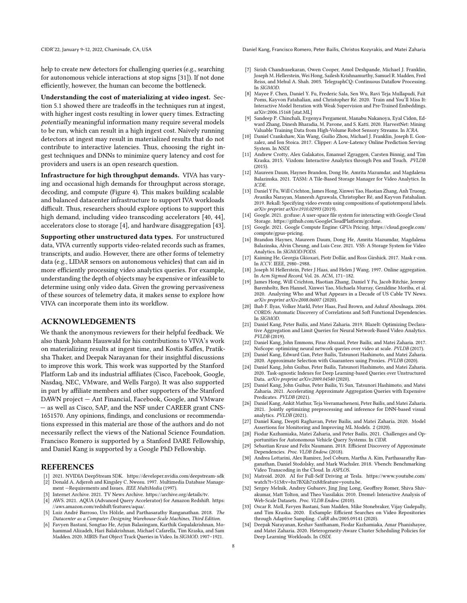help to create new detectors for challenging queries (e.g., searching for autonomous vehicle interactions at stop signs [\[31\]](#page-7-32)). If not done efficiently, however, the human can become the bottleneck.

Understanding the cost of materializing at video ingest. Section [5.1](#page-4-2) showed there are tradeoffs in the techniques run at ingest, with higher ingest costs resulting in lower query times. Extracting potentially meaningful information many require several models to be run, which can result in a high ingest cost. Naively running detectors at ingest may result in materialized results that do not contribute to interactive latencies. Thus, choosing the right ingest techniques and DNNs to minimize query latency and cost for providers and users is an open research question.

Infrastructure for high throughput demands. VIVA has varying and occasional high demands for throughput across storage, decoding, and compute (Figure [4\)](#page-5-3). This makes building scalable and balanced datacenter infrastructure to support IVA workloads difficult. Thus, researchers should explore options to support this high demand, including video transcoding accelerators [\[40,](#page-8-6) [44\]](#page-8-13), accelerators close to storage [\[4\]](#page-7-33), and hardware disaggregation [\[43\]](#page-8-14).

Supporting other unstructured data types. For unstructured data, VIVA currently supports video-related records such as frames, transcripts, and audio. However, there are other forms of telemetry data (e.g., LIDAR sensors on autonomous vehicles) that can aid in more efficiently processing video analytics queries. For example, understanding the depth of objects may be expensive or infeasible to determine using only video data. Given the growing pervasiveness of these sources of telemetry data, it makes sense to explore how VIVA can incorporate them into its workflow.

## ACKNOWLEDGEMENTS

We thank the anonymous reviewers for their helpful feedback. We also thank Johann Hauswald for his contributions to VIVA's work on materializing results at ingest time, and Kostis Kaffes, Pratiksha Thaker, and Deepak Narayanan for their insightful discussions to improve this work. This work was supported by the Stanford Platform Lab and its industrial affiliates (Cisco, Facebook, Google, Nasdaq, NEC, VMware, and Wells Fargo). It was also supported in part by affiliate members and other supporters of the Stanford DAWN project — Ant Financial, Facebook, Google, and VMware — as well as Cisco, SAP, and the NSF under CAREER grant CNS-1651570. Any opinions, findings, and conclusions or recommendations expressed in this material are those of the authors and do not necessarily reflect the views of the National Science Foundation. Francisco Romero is supported by a Stanford DARE Fellowship, and Daniel Kang is supported by a Google PhD Fellowship.

#### REFERENCES

- <span id="page-7-24"></span><span id="page-7-20"></span>[1] 2021. NVIDIA DeepStream SDK.<https://developer.nvidia.com/deepstream-sdk> Donald A. Adjeroh and Kingsley C. Nwosu. 1997. Multimedia Database Manage-
- <span id="page-7-11"></span>ment —Requirements and Issues. IEEE MultiMedia (1997). [3] Internet Archive. 2021. TV News Archive. [https://archive.org/details/tv.](https://archive.org/details/tv)
- <span id="page-7-33"></span>[4] AWS. 2021. AQUA (Advanced Query Accelerator) for Amazon Redshift. [https:](https://aws.amazon.com/redshift/features/aqua/) [//aws.amazon.com/redshift/features/aqua/.](https://aws.amazon.com/redshift/features/aqua/)
- <span id="page-7-23"></span>[5] Luiz André Barroso, Urs Hölzle, and Parthasarathy Ranganathan. 2018. The Datacenter as a Computer: Designing Warehouse-Scale Machines, Third Edition.
- <span id="page-7-9"></span>[6] Favyen Bastani, Songtao He, Arjun Balasingam, Karthik Gopalakrishnan, Mohammad Alizadeh, Hari Balakrishnan, Michael Cafarella, Tim Kraska, and Sam Madden. 2020. MIRIS: Fast Object Track Queries in Video. In SIGMOD. 1907–1921.

CIDR'22, January 9-12, 2022, Chaminade, CA, USA Daniel Kang, Francisco Romero, Peter Bailis, Christos Kozyrakis, and Matei Zaharia

- <span id="page-7-28"></span>[7] Sirish Chandrasekaran, Owen Cooper, Amol Deshpande, Michael J. Franklin, Joseph M. Hellerstein, Wei Hong, Sailesh Krishnamurthy, Samuel R. Madden, Fred Reiss, and Mehul A. Shah. 2003. TelegraphCQ: Continuous Dataflow Processing. In SIGMOD.
- <span id="page-7-31"></span>[8] Mayee F. Chen, Daniel Y. Fu, Frederic Sala, Sen Wu, Ravi Teja Mullapudi, Fait Poms, Kayvon Fatahalian, and Christopher Ré. 2020. Train and You'll Miss It: Interactive Model Iteration with Weak Supervision and Pre-Trained Embeddings. arXiv[:2006.15168](https://arxiv.org/abs/2006.15168) [stat.ML]
- <span id="page-7-14"></span>[9] Sandeep P. Chinchali, Evgenya Pergament, Manabu Nakanoya, Eyal Cidon, Edward Zhang, Dinesh Bharadia, M. Pavone, and S. Katti. 2020. HarvestNet: Mining Valuable Training Data from High-Volume Robot Sensory Streams. In ICRA.
- <span id="page-7-30"></span>[10] Daniel Crankshaw, Xin Wang, Guilio Zhou, Michael J. Franklin, Joseph E. Gonzalez, and Ion Stoica. 2017. Clipper: A Low-Latency Online Prediction Serving System. In NSDI.
- <span id="page-7-27"></span>[11] Andrew Crotty, Alex Galakatos, Emanuel Zgraggen, Carsten Binnig, and Tim Kraska. 2015. Vizdom: Interactive Analytics through Pen and Touch. PVLDB (2015).
- <span id="page-7-12"></span>[12] Maureen Daum, Haynes Brandon, Dong He, Amrita Mazumdar, and Magdalena Balazinska. 2021. TASM: A Tile-Based Storage Manager for Video Analytics. In ICDE.
- <span id="page-7-4"></span>[13] Daniel Y Fu, Will Crichton, James Hong, Xinwei Yao, Haotian Zhang, Anh Truong, Avanika Narayan, Maneesh Agrawala, Christopher Ré, and Kayvon Fatahalian. 2019. Rekall: Specifying video events using compositions of spatiotemporal labels. arXiv preprint arXiv:1910.02993 (2019).
- <span id="page-7-13"></span>[14] Google. 2021. gcsfuse: A user-space file system for interacting with Google Cloud Storage. [https://github.com/GoogleCloudPlatform/gcsfuse.](https://github.com/GoogleCloudPlatform/gcsfuse)
- <span id="page-7-7"></span>[15] Google. 2021. Google Compute Engine: GPUs Pricing. [https://cloud.google.com/](https://cloud.google.com/compute/gpus-pricing) [compute/gpus-pricing.](https://cloud.google.com/compute/gpus-pricing)
- <span id="page-7-25"></span>[16] Brandon Haynes, Maureen Daum, Dong He, Amrita Mazumdar, Magdalena Balazinska, Alvin Cheung, and Luis Ceze. 2021. VSS: A Storage System for Video Analytics. In SIGMOD/PODS.
- <span id="page-7-0"></span>[17] Kaiming He, Georgia Gkioxari, Piotr Dollár, and Ross Girshick. 2017. Mask r-cnn. In ICCV. IEEE, 2980–2988.
- <span id="page-7-26"></span>[18] Joseph M Hellerstein, Peter J Haas, and Helen J Wang. 1997. Online aggregation. In Acm Sigmod Record, Vol. 26. ACM, 171–182.
- <span id="page-7-5"></span>[19] James Hong, Will Crichton, Haotian Zhang, Daniel Y Fu, Jacob Ritchie, Jeremy Barenholtz, Ben Hannel, Xinwei Yao, Michaela Murray, Geraldine Moriba, et al. 2020. Analyzing Who and What Appears in a Decade of US Cable TV News. arXiv preprint arXiv:2008.06007 (2020).
- <span id="page-7-18"></span>[20] Ihab F. Ilyas, Volker Markl, Peter Haas, Paul Brown, and Ashraf Aboulnaga. 2004. CORDS: Automatic Discovery of Correlations and Soft Functional Dependencies. In SIGMOD.
- <span id="page-7-1"></span>[21] Daniel Kang, Peter Bailis, and Matei Zaharia. 2019. BlazeIt: Optimizing Declarative Aggregation and Limit Queries for Neural Network-Based Video Analytics. PVLDB (2019).
- <span id="page-7-6"></span>[22] Daniel Kang, John Emmons, Firas Abuzaid, Peter Bailis, and Matei Zaharia. 2017. NoScope: optimizing neural network queries over video at scale. PVLDB (2017).
- <span id="page-7-16"></span>[23] Daniel Kang, Edward Gan, Peter Bailis, Tatsunori Hashimoto, and Matei Zaharia. 2020. Approximate Selection with Guarantees using Proxies. PVLDB (2020).
- <span id="page-7-3"></span>[24] Daniel Kang, John Guibas, Peter Bailis, Tatsunori Hashimoto, and Matei Zaharia. 2020. Task-agnostic Indexes for Deep Learning-based Queries over Unstructured Data. arXiv preprint arXiv:2009.04540 (2020).
- <span id="page-7-17"></span>[25] Daniel Kang, John Guibas, Peter Bailis, Yi Sun, Tatsunori Hashimoto, and Matei Zaharia. 2021. Accelerating Approximate Aggregation Queries with Expensive Predicates. PVLDB (2021).
- <span id="page-7-2"></span>[26] Daniel Kang, Ankit Mathur, Teja Veeramacheneni, Peter Bailis, and Matei Zaharia. 2021. Jointly optimizing preprocessing and inference for DNN-based visual analytics. PVLDB (2021).
- <span id="page-7-29"></span>[27] Daniel Kang, Deepti Raghavan, Peter Bailis, and Matei Zaharia. 2020. Model Assertions for Monitoring and Improving ML Models. 2 (2020).
- <span id="page-7-15"></span>[28] Fiodar Kazhamiaka, Matei Zaharia, and Peter Bailis. 2021. Challenges and Opportunities for Autonomous Vehicle Query Systems. In CIDR.
- <span id="page-7-19"></span>[29] Sebastian Kruse and Felix Naumann. 2018. Efficient Discovery of Approximate Dependencies. Proc. VLDB Endow. (2018).
- <span id="page-7-21"></span>[30] Andrea Lottarini, Alex Ramirez, Joel Coburn, Martha A. Kim, Parthasarathy Ranganathan, Daniel Stodolsky, and Mark Wachsler. 2018. Vbench: Benchmarking Video Transcoding in the Cloud. In ASPLOS.
- <span id="page-7-32"></span>[31] Matroid. 2020. AI for Full-Self Driving at Tesla. [https://www.youtube.com/](https://www.youtube.com/watch?t=513&v=hx7BXih7zx8&feature=youtu.be) [watch?t=513&v=hx7BXih7zx8&feature=youtu.be.](https://www.youtube.com/watch?t=513&v=hx7BXih7zx8&feature=youtu.be)
- <span id="page-7-8"></span>[32] Sergey Melnik, Andrey Gubarev, Jing Jing Long, Geoffrey Romer, Shiva Shivakumar, Matt Tolton, and Theo Vassilakis. 2010. Dremel: Interactive Analysis of Web-Scale Datasets. Proc. VLDB Endow. (2010).
- <span id="page-7-10"></span>[33] Oscar R. Moll, Favyen Bastani, Sam Madden, Mike Stonebraker, Vijay Gadepally, and Tim Kraska. 2020. ExSample: Efficient Searches on Video Repositories through Adaptive Sampling. CoRR abs/2005.09141 (2020).
- <span id="page-7-22"></span>[34] Deepak Narayanan, Keshav Santhanam, Fiodar Kazhamiaka, Amar Phanishayee, and Matei Zaharia. 2020. Heterogeneity-Aware Cluster Scheduling Policies for Deep Learning Workloads. In OSDI.